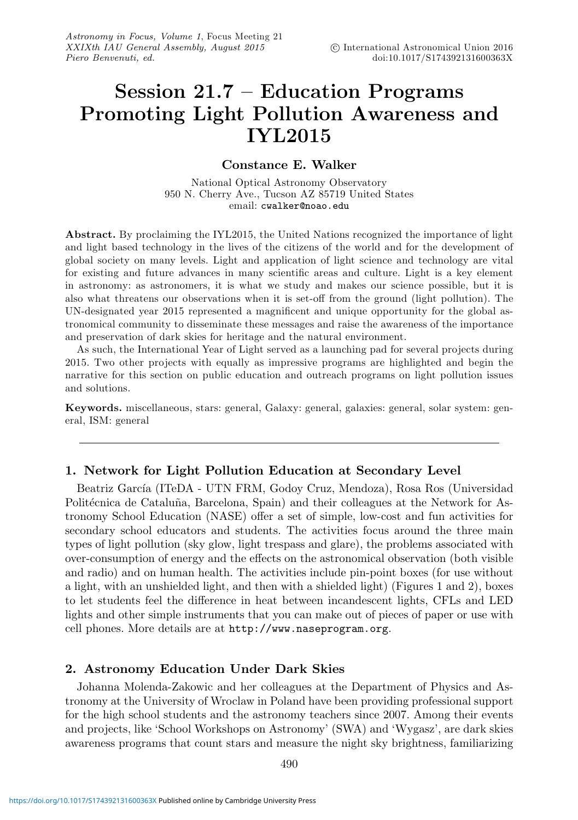# **Session 21.7 – Education Programs Promoting Light Pollution Awareness and IYL2015**

# **Constance E. Walker**

National Optical Astronomy Observatory 950 N. Cherry Ave., Tucson AZ 85719 United States email: cwalker@noao.edu

**Abstract.** By proclaiming the IYL2015, the United Nations recognized the importance of light and light based technology in the lives of the citizens of the world and for the development of global society on many levels. Light and application of light science and technology are vital for existing and future advances in many scientific areas and culture. Light is a key element in astronomy: as astronomers, it is what we study and makes our science possible, but it is also what threatens our observations when it is set-off from the ground (light pollution). The UN-designated year 2015 represented a magnificent and unique opportunity for the global astronomical community to disseminate these messages and raise the awareness of the importance and preservation of dark skies for heritage and the natural environment.

As such, the International Year of Light served as a launching pad for several projects during 2015. Two other projects with equally as impressive programs are highlighted and begin the narrative for this section on public education and outreach programs on light pollution issues and solutions.

**Keywords.** miscellaneous, stars: general, Galaxy: general, galaxies: general, solar system: general, ISM: general

# **1. Network for Light Pollution Education at Secondary Level**

Beatriz García (ITeDA - UTN FRM, Godoy Cruz, Mendoza), Rosa Ros (Universidad Politécnica de Cataluña, Barcelona, Spain) and their colleagues at the Network for Astronomy School Education (NASE) offer a set of simple, low-cost and fun activities for secondary school educators and students. The activities focus around the three main types of light pollution (sky glow, light trespass and glare), the problems associated with over-consumption of energy and the effects on the astronomical observation (both visible and radio) and on human health. The activities include pin-point boxes (for use without a light, with an unshielded light, and then with a shielded light) (Figures 1 and 2), boxes to let students feel the difference in heat between incandescent lights, CFLs and LED lights and other simple instruments that you can make out of pieces of paper or use with cell phones. More details are at http://www.naseprogram.org.

## **2. Astronomy Education Under Dark Skies**

Johanna Molenda-Zakowic and her colleagues at the Department of Physics and Astronomy at the University of Wroclaw in Poland have been providing professional support for the high school students and the astronomy teachers since 2007. Among their events and projects, like 'School Workshops on Astronomy' (SWA) and 'Wygasz', are dark skies awareness programs that count stars and measure the night sky brightness, familiarizing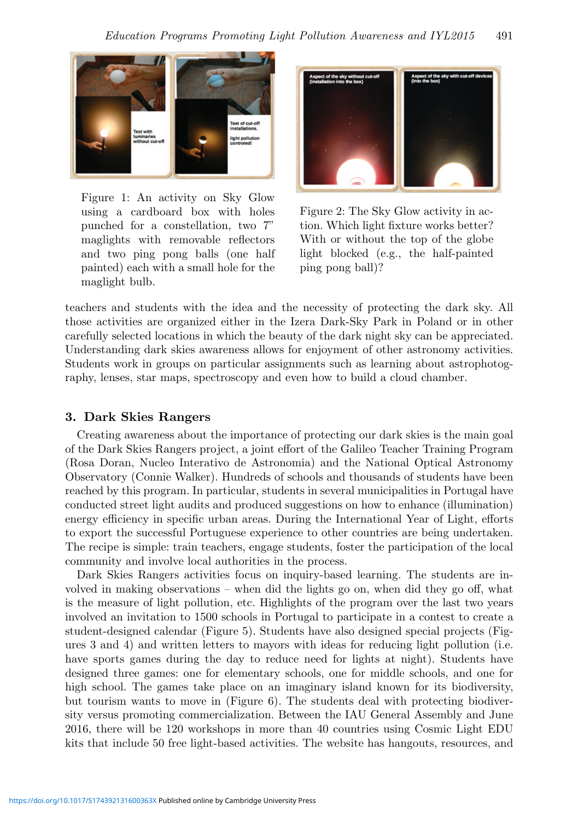

Figure 1: An activity on Sky Glow using a cardboard box with holes punched for a constellation, two 7" maglights with removable reflectors and two ping pong balls (one half painted) each with a small hole for the maglight bulb.



Figure 2: The Sky Glow activity in action. Which light fixture works better? With or without the top of the globe light blocked (e.g., the half-painted ping pong ball)?

teachers and students with the idea and the necessity of protecting the dark sky. All those activities are organized either in the Izera Dark-Sky Park in Poland or in other carefully selected locations in which the beauty of the dark night sky can be appreciated. Understanding dark skies awareness allows for enjoyment of other astronomy activities. Students work in groups on particular assignments such as learning about astrophotography, lenses, star maps, spectroscopy and even how to build a cloud chamber.

#### **3. Dark Skies Rangers**

Creating awareness about the importance of protecting our dark skies is the main goal of the Dark Skies Rangers project, a joint effort of the Galileo Teacher Training Program (Rosa Doran, Nucleo Interativo de Astronomia) and the National Optical Astronomy Observatory (Connie Walker). Hundreds of schools and thousands of students have been reached by this program. In particular, students in several municipalities in Portugal have conducted street light audits and produced suggestions on how to enhance (illumination) energy efficiency in specific urban areas. During the International Year of Light, efforts to export the successful Portuguese experience to other countries are being undertaken. The recipe is simple: train teachers, engage students, foster the participation of the local community and involve local authorities in the process.

Dark Skies Rangers activities focus on inquiry-based learning. The students are involved in making observations – when did the lights go on, when did they go off, what is the measure of light pollution, etc. Highlights of the program over the last two years involved an invitation to 1500 schools in Portugal to participate in a contest to create a student-designed calendar (Figure 5). Students have also designed special projects (Figures 3 and 4) and written letters to mayors with ideas for reducing light pollution (i.e. have sports games during the day to reduce need for lights at night). Students have designed three games: one for elementary schools, one for middle schools, and one for high school. The games take place on an imaginary island known for its biodiversity, but tourism wants to move in (Figure 6). The students deal with protecting biodiversity versus promoting commercialization. Between the IAU General Assembly and June 2016, there will be 120 workshops in more than 40 countries using Cosmic Light EDU kits that include 50 free light-based activities. The website has hangouts, resources, and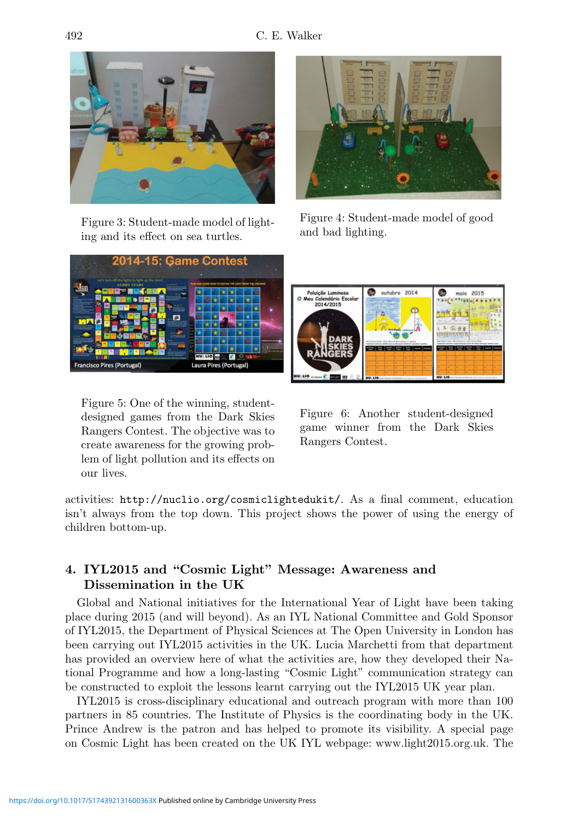

Figure 3: Student-made model of lighting and its effect on sea turtles.



Figure 5: One of the winning, studentdesigned games from the Dark Skies Rangers Contest. The objective was to create awareness for the growing problem of light pollution and its effects on our lives.



Figure 4: Student-made model of good and bad lighting.



Figure 6: Another student-designed game winner from the Dark Skies Rangers Contest.

activities: http://nuclio.org/cosmiclightedukit/. As a final comment, education isn't always from the top down. This project shows the power of using the energy of children bottom-up.

# **4. IYL2015 and "Cosmic Light" Message: Awareness and Dissemination in the UK**

Global and National initiatives for the International Year of Light have been taking place during 2015 (and will beyond). As an IYL National Committee and Gold Sponsor of IYL2015, the Department of Physical Sciences at The Open University in London has been carrying out IYL2015 activities in the UK. Lucia Marchetti from that department has provided an overview here of what the activities are, how they developed their National Programme and how a long-lasting "Cosmic Light" communication strategy can be constructed to exploit the lessons learnt carrying out the IYL2015 UK year plan.

IYL2015 is cross-disciplinary educational and outreach program with more than 100 partners in 85 countries. The Institute of Physics is the coordinating body in the UK. Prince Andrew is the patron and has helped to promote its visibility. A special page on Cosmic Light has been created on the UK IYL webpage: www.light2015.org.uk. The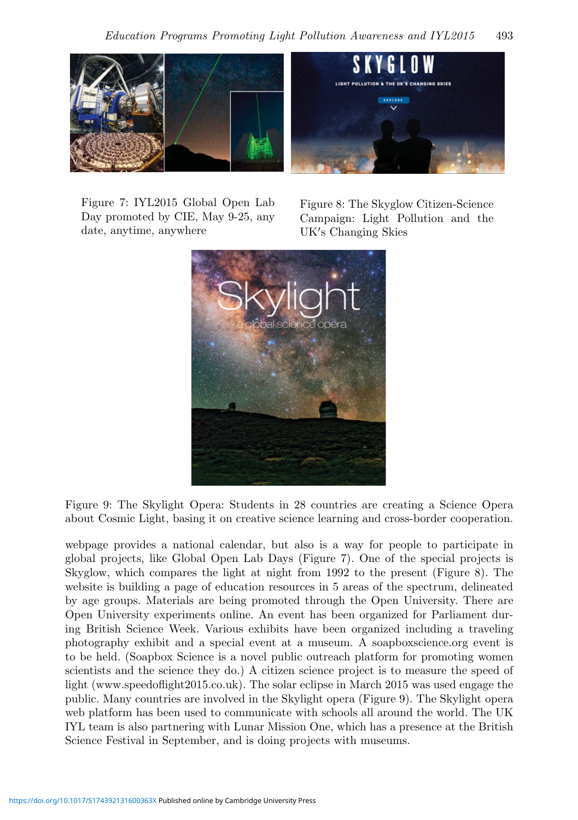



Figure 7: IYL2015 Global Open Lab Day promoted by CIE, May 9-25, any date, anytime, anywhere

Figure 8: The Skyglow Citizen-Science Campaign: Light Pollution and the UK's Changing Skies



Figure 9: The Skylight Opera: Students in 28 countries are creating a Science Opera about Cosmic Light, basing it on creative science learning and cross-border cooperation.

webpage provides a national calendar, but also is a way for people to participate in global projects, like Global Open Lab Days (Figure 7). One of the special projects is Skyglow, which compares the light at night from 1992 to the present (Figure 8). The website is building a page of education resources in 5 areas of the spectrum, delineated by age groups. Materials are being promoted through the Open University. There are Open University experiments online. An event has been organized for Parliament during British Science Week. Various exhibits have been organized including a traveling photography exhibit and a special event at a museum. A soapboxscience.org event is to be held. (Soapbox Science is a novel public outreach platform for promoting women scientists and the science they do.) A citizen science project is to measure the speed of light (www.speedoflight2015.co.uk). The solar eclipse in March 2015 was used engage the public. Many countries are involved in the Skylight opera (Figure 9). The Skylight opera web platform has been used to communicate with schools all around the world. The UK IYL team is also partnering with Lunar Mission One, which has a presence at the British Science Festival in September, and is doing projects with museums.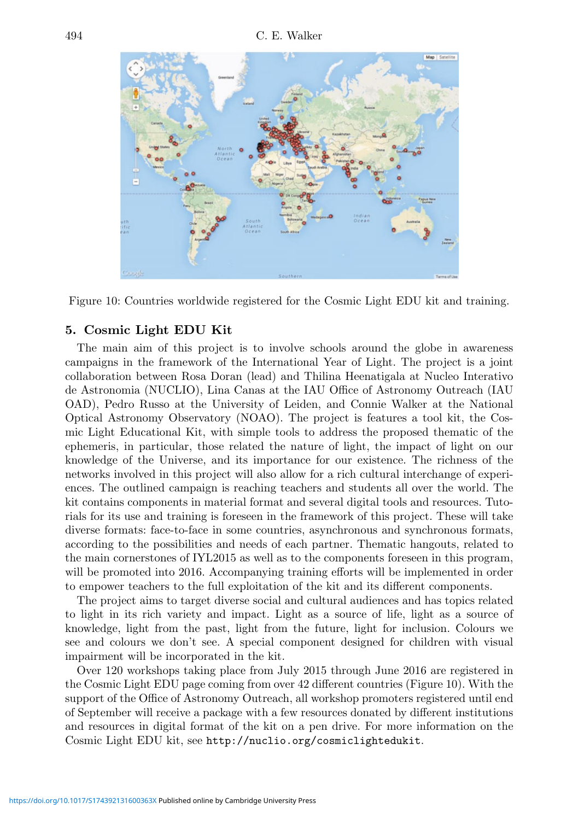

Figure 10: Countries worldwide registered for the Cosmic Light EDU kit and training.

## **5. Cosmic Light EDU Kit**

The main aim of this project is to involve schools around the globe in awareness campaigns in the framework of the International Year of Light. The project is a joint collaboration between Rosa Doran (lead) and Thilina Heenatigala at Nucleo Interativo de Astronomia (NUCLIO), Lina Canas at the IAU Office of Astronomy Outreach (IAU OAD), Pedro Russo at the University of Leiden, and Connie Walker at the National Optical Astronomy Observatory (NOAO). The project is features a tool kit, the Cosmic Light Educational Kit, with simple tools to address the proposed thematic of the ephemeris, in particular, those related the nature of light, the impact of light on our knowledge of the Universe, and its importance for our existence. The richness of the networks involved in this project will also allow for a rich cultural interchange of experiences. The outlined campaign is reaching teachers and students all over the world. The kit contains components in material format and several digital tools and resources. Tutorials for its use and training is foreseen in the framework of this project. These will take diverse formats: face-to-face in some countries, asynchronous and synchronous formats, according to the possibilities and needs of each partner. Thematic hangouts, related to the main cornerstones of IYL2015 as well as to the components foreseen in this program, will be promoted into 2016. Accompanying training efforts will be implemented in order to empower teachers to the full exploitation of the kit and its different components.

The project aims to target diverse social and cultural audiences and has topics related to light in its rich variety and impact. Light as a source of life, light as a source of knowledge, light from the past, light from the future, light for inclusion. Colours we see and colours we don't see. A special component designed for children with visual impairment will be incorporated in the kit.

Over 120 workshops taking place from July 2015 through June 2016 are registered in the Cosmic Light EDU page coming from over 42 different countries (Figure 10). With the support of the Office of Astronomy Outreach, all workshop promoters registered until end of September will receive a package with a few resources donated by different institutions and resources in digital format of the kit on a pen drive. For more information on the Cosmic Light EDU kit, see http://nuclio.org/cosmiclightedukit.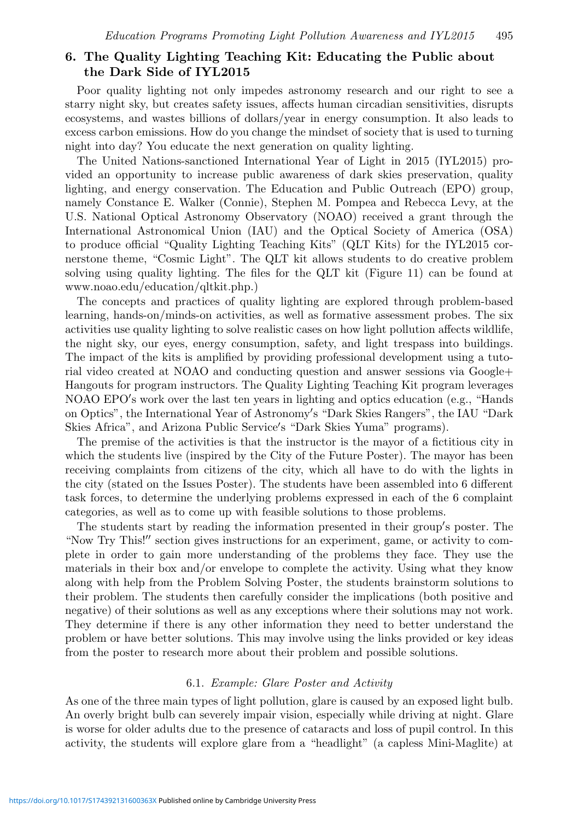# **6. The Quality Lighting Teaching Kit: Educating the Public about the Dark Side of IYL2015**

Poor quality lighting not only impedes astronomy research and our right to see a starry night sky, but creates safety issues, affects human circadian sensitivities, disrupts ecosystems, and wastes billions of dollars/year in energy consumption. It also leads to excess carbon emissions. How do you change the mindset of society that is used to turning night into day? You educate the next generation on quality lighting.

The United Nations-sanctioned International Year of Light in 2015 (IYL2015) provided an opportunity to increase public awareness of dark skies preservation, quality lighting, and energy conservation. The Education and Public Outreach (EPO) group, namely Constance E. Walker (Connie), Stephen M. Pompea and Rebecca Levy, at the U.S. National Optical Astronomy Observatory (NOAO) received a grant through the International Astronomical Union (IAU) and the Optical Society of America (OSA) to produce official "Quality Lighting Teaching Kits" (QLT Kits) for the IYL2015 cornerstone theme, "Cosmic Light". The QLT kit allows students to do creative problem solving using quality lighting. The files for the QLT kit (Figure 11) can be found at www.noao.edu/education/qltkit.php.)

The concepts and practices of quality lighting are explored through problem-based learning, hands-on/minds-on activities, as well as formative assessment probes. The six activities use quality lighting to solve realistic cases on how light pollution affects wildlife, the night sky, our eyes, energy consumption, safety, and light trespass into buildings. The impact of the kits is amplified by providing professional development using a tutorial video created at NOAO and conducting question and answer sessions via Google+ Hangouts for program instructors. The Quality Lighting Teaching Kit program leverages NOAO EPO's work over the last ten years in lighting and optics education (e.g., "Hands on Optics", the International Year of Astronomy's "Dark Skies Rangers", the IAU "Dark Skies Africa", and Arizona Public Service's "Dark Skies Yuma" programs).

The premise of the activities is that the instructor is the mayor of a fictitious city in which the students live (inspired by the City of the Future Poster). The mayor has been receiving complaints from citizens of the city, which all have to do with the lights in the city (stated on the Issues Poster). The students have been assembled into 6 different task forces, to determine the underlying problems expressed in each of the 6 complaint categories, as well as to come up with feasible solutions to those problems.

The students start by reading the information presented in their group's poster. The "Now Try This!" section gives instructions for an experiment, game, or activity to complete in order to gain more understanding of the problems they face. They use the materials in their box and/or envelope to complete the activity. Using what they know along with help from the Problem Solving Poster, the students brainstorm solutions to their problem. The students then carefully consider the implications (both positive and negative) of their solutions as well as any exceptions where their solutions may not work. They determine if there is any other information they need to better understand the problem or have better solutions. This may involve using the links provided or key ideas from the poster to research more about their problem and possible solutions.

#### 6.1. Example: Glare Poster and Activity

As one of the three main types of light pollution, glare is caused by an exposed light bulb. An overly bright bulb can severely impair vision, especially while driving at night. Glare is worse for older adults due to the presence of cataracts and loss of pupil control. In this activity, the students will explore glare from a "headlight" (a capless Mini-Maglite) at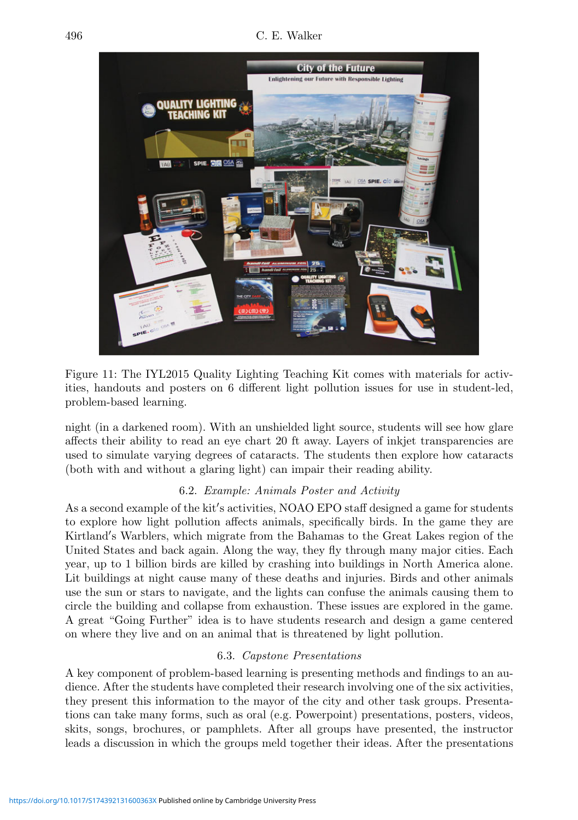496 C. E. Walker



Figure 11: The IYL2015 Quality Lighting Teaching Kit comes with materials for activities, handouts and posters on 6 different light pollution issues for use in student-led, problem-based learning.

night (in a darkened room). With an unshielded light source, students will see how glare affects their ability to read an eye chart 20 ft away. Layers of inkjet transparencies are used to simulate varying degrees of cataracts. The students then explore how cataracts (both with and without a glaring light) can impair their reading ability.

## 6.2. Example: Animals Poster and Activity

As a second example of the kit's activities, NOAO EPO staff designed a game for students to explore how light pollution affects animals, specifically birds. In the game they are Kirtland's Warblers, which migrate from the Bahamas to the Great Lakes region of the United States and back again. Along the way, they fly through many major cities. Each year, up to 1 billion birds are killed by crashing into buildings in North America alone. Lit buildings at night cause many of these deaths and injuries. Birds and other animals use the sun or stars to navigate, and the lights can confuse the animals causing them to circle the building and collapse from exhaustion. These issues are explored in the game. A great "Going Further" idea is to have students research and design a game centered on where they live and on an animal that is threatened by light pollution.

# 6.3. Capstone Presentations

A key component of problem-based learning is presenting methods and findings to an audience. After the students have completed their research involving one of the six activities, they present this information to the mayor of the city and other task groups. Presentations can take many forms, such as oral (e.g. Powerpoint) presentations, posters, videos, skits, songs, brochures, or pamphlets. After all groups have presented, the instructor leads a discussion in which the groups meld together their ideas. After the presentations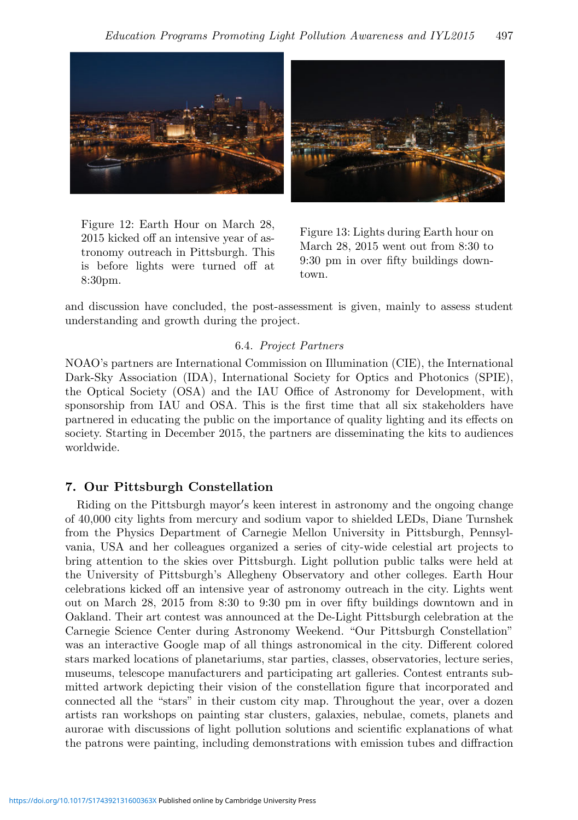

Figure 12: Earth Hour on March 28, 2015 kicked off an intensive year of astronomy outreach in Pittsburgh. This is before lights were turned off at 8:30pm.

Figure 13: Lights during Earth hour on March 28, 2015 went out from 8:30 to 9:30 pm in over fifty buildings downtown.

and discussion have concluded, the post-assessment is given, mainly to assess student understanding and growth during the project.

#### 6.4. Project Partners

NOAO's partners are International Commission on Illumination (CIE), the International Dark-Sky Association (IDA), International Society for Optics and Photonics (SPIE), the Optical Society (OSA) and the IAU Office of Astronomy for Development, with sponsorship from IAU and OSA. This is the first time that all six stakeholders have partnered in educating the public on the importance of quality lighting and its effects on society. Starting in December 2015, the partners are disseminating the kits to audiences worldwide.

## **7. Our Pittsburgh Constellation**

Riding on the Pittsburgh mayor's keen interest in astronomy and the ongoing change of 40,000 city lights from mercury and sodium vapor to shielded LEDs, Diane Turnshek from the Physics Department of Carnegie Mellon University in Pittsburgh, Pennsylvania, USA and her colleagues organized a series of city-wide celestial art projects to bring attention to the skies over Pittsburgh. Light pollution public talks were held at the University of Pittsburgh's Allegheny Observatory and other colleges. Earth Hour celebrations kicked off an intensive year of astronomy outreach in the city. Lights went out on March 28, 2015 from 8:30 to 9:30 pm in over fifty buildings downtown and in Oakland. Their art contest was announced at the De-Light Pittsburgh celebration at the Carnegie Science Center during Astronomy Weekend. "Our Pittsburgh Constellation" was an interactive Google map of all things astronomical in the city. Different colored stars marked locations of planetariums, star parties, classes, observatories, lecture series, museums, telescope manufacturers and participating art galleries. Contest entrants submitted artwork depicting their vision of the constellation figure that incorporated and connected all the "stars" in their custom city map. Throughout the year, over a dozen artists ran workshops on painting star clusters, galaxies, nebulae, comets, planets and aurorae with discussions of light pollution solutions and scientific explanations of what the patrons were painting, including demonstrations with emission tubes and diffraction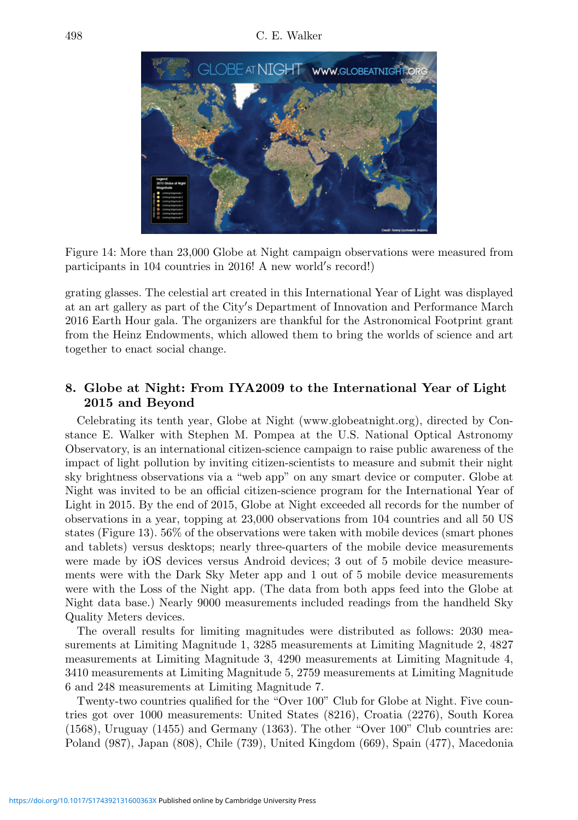

Figure 14: More than 23,000 Globe at Night campaign observations were measured from participants in 104 countries in 2016! A new world's record!)

grating glasses. The celestial art created in this International Year of Light was displayed at an art gallery as part of the City's Department of Innovation and Performance March 2016 Earth Hour gala. The organizers are thankful for the Astronomical Footprint grant from the Heinz Endowments, which allowed them to bring the worlds of science and art together to enact social change.

# **8. Globe at Night: From IYA2009 to the International Year of Light 2015 and Beyond**

Celebrating its tenth year, Globe at Night (www.globeatnight.org), directed by Constance E. Walker with Stephen M. Pompea at the U.S. National Optical Astronomy Observatory, is an international citizen-science campaign to raise public awareness of the impact of light pollution by inviting citizen-scientists to measure and submit their night sky brightness observations via a "web app" on any smart device or computer. Globe at Night was invited to be an official citizen-science program for the International Year of Light in 2015. By the end of 2015, Globe at Night exceeded all records for the number of observations in a year, topping at 23,000 observations from 104 countries and all 50 US states (Figure 13). 56% of the observations were taken with mobile devices (smart phones and tablets) versus desktops; nearly three-quarters of the mobile device measurements were made by iOS devices versus Android devices; 3 out of 5 mobile device measurements were with the Dark Sky Meter app and 1 out of 5 mobile device measurements were with the Loss of the Night app. (The data from both apps feed into the Globe at Night data base.) Nearly 9000 measurements included readings from the handheld Sky Quality Meters devices.

The overall results for limiting magnitudes were distributed as follows: 2030 measurements at Limiting Magnitude 1, 3285 measurements at Limiting Magnitude 2, 4827 measurements at Limiting Magnitude 3, 4290 measurements at Limiting Magnitude 4, 3410 measurements at Limiting Magnitude 5, 2759 measurements at Limiting Magnitude 6 and 248 measurements at Limiting Magnitude 7.

Twenty-two countries qualified for the "Over 100" Club for Globe at Night. Five countries got over 1000 measurements: United States (8216), Croatia (2276), South Korea (1568), Uruguay (1455) and Germany (1363). The other "Over 100" Club countries are: Poland (987), Japan (808), Chile (739), United Kingdom (669), Spain (477), Macedonia